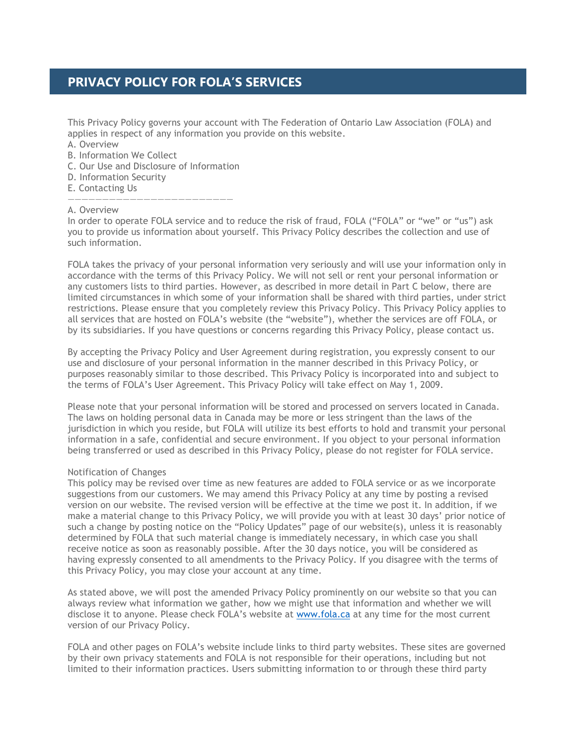# **PRIVACY POLICY FOR FOLA'S SERVICES**

This Privacy Policy governs your account with The Federation of Ontario Law Association (FOLA) and applies in respect of any information you provide on this website.

- A. Overview
- B. Information We Collect
- C. Our Use and Disclosure of Information

————————————————————————

- D. Information Security
- E. Contacting Us

#### A. Overview

In order to operate FOLA service and to reduce the risk of fraud, FOLA ("FOLA" or "we" or "us") ask you to provide us information about yourself. This Privacy Policy describes the collection and use of such information.

FOLA takes the privacy of your personal information very seriously and will use your information only in accordance with the terms of this Privacy Policy. We will not sell or rent your personal information or any customers lists to third parties. However, as described in more detail in Part C below, there are limited circumstances in which some of your information shall be shared with third parties, under strict restrictions. Please ensure that you completely review this Privacy Policy. This Privacy Policy applies to all services that are hosted on FOLA's website (the "website"), whether the services are off FOLA, or by its subsidiaries. If you have questions or concerns regarding this Privacy Policy, please contact us.

By accepting the Privacy Policy and User Agreement during registration, you expressly consent to our use and disclosure of your personal information in the manner described in this Privacy Policy, or purposes reasonably similar to those described. This Privacy Policy is incorporated into and subject to the terms of FOLA's User Agreement. This Privacy Policy will take effect on May 1, 2009.

Please note that your personal information will be stored and processed on servers located in Canada. The laws on holding personal data in Canada may be more or less stringent than the laws of the jurisdiction in which you reside, but FOLA will utilize its best efforts to hold and transmit your personal information in a safe, confidential and secure environment. If you object to your personal information being transferred or used as described in this Privacy Policy, please do not register for FOLA service.

## Notification of Changes

This policy may be revised over time as new features are added to FOLA service or as we incorporate suggestions from our customers. We may amend this Privacy Policy at any time by posting a revised version on our website. The revised version will be effective at the time we post it. In addition, if we make a material change to this Privacy Policy, we will provide you with at least 30 days' prior notice of such a change by posting notice on the "Policy Updates" page of our website(s), unless it is reasonably determined by FOLA that such material change is immediately necessary, in which case you shall receive notice as soon as reasonably possible. After the 30 days notice, you will be considered as having expressly consented to all amendments to the Privacy Policy. If you disagree with the terms of this Privacy Policy, you may close your account at any time.

As stated above, we will post the amended Privacy Policy prominently on our website so that you can always review what information we gather, how we might use that information and whether we will disclose it to anyone. Please check FOLA's website at [www.fola.ca](http://www.fola.ca/) at any time for the most current version of our Privacy Policy.

FOLA and other pages on FOLA's website include links to third party websites. These sites are governed by their own privacy statements and FOLA is not responsible for their operations, including but not limited to their information practices. Users submitting information to or through these third party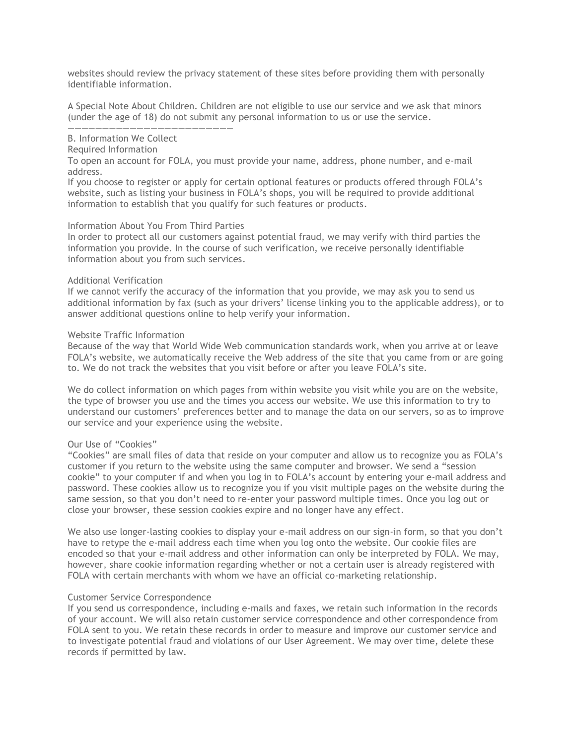websites should review the privacy statement of these sites before providing them with personally identifiable information.

A Special Note About Children. Children are not eligible to use our service and we ask that minors (under the age of 18) do not submit any personal information to us or use the service.

#### B. Information We Collect

#### Required Information

To open an account for FOLA, you must provide your name, address, phone number, and e-mail address.

If you choose to register or apply for certain optional features or products offered through FOLA's website, such as listing your business in FOLA's shops, you will be required to provide additional information to establish that you qualify for such features or products.

## Information About You From Third Parties

————————————————————————

In order to protect all our customers against potential fraud, we may verify with third parties the information you provide. In the course of such verification, we receive personally identifiable information about you from such services.

#### Additional Verification

If we cannot verify the accuracy of the information that you provide, we may ask you to send us additional information by fax (such as your drivers' license linking you to the applicable address), or to answer additional questions online to help verify your information.

#### Website Traffic Information

Because of the way that World Wide Web communication standards work, when you arrive at or leave FOLA's website, we automatically receive the Web address of the site that you came from or are going to. We do not track the websites that you visit before or after you leave FOLA's site.

We do collect information on which pages from within website you visit while you are on the website, the type of browser you use and the times you access our website. We use this information to try to understand our customers' preferences better and to manage the data on our servers, so as to improve our service and your experience using the website.

## Our Use of "Cookies"

"Cookies" are small files of data that reside on your computer and allow us to recognize you as FOLA's customer if you return to the website using the same computer and browser. We send a "session cookie" to your computer if and when you log in to FOLA's account by entering your e-mail address and password. These cookies allow us to recognize you if you visit multiple pages on the website during the same session, so that you don't need to re-enter your password multiple times. Once you log out or close your browser, these session cookies expire and no longer have any effect.

We also use longer-lasting cookies to display your e-mail address on our sign-in form, so that you don't have to retype the e-mail address each time when you log onto the website. Our cookie files are encoded so that your e-mail address and other information can only be interpreted by FOLA. We may, however, share cookie information regarding whether or not a certain user is already registered with FOLA with certain merchants with whom we have an official co-marketing relationship.

## Customer Service Correspondence

If you send us correspondence, including e-mails and faxes, we retain such information in the records of your account. We will also retain customer service correspondence and other correspondence from FOLA sent to you. We retain these records in order to measure and improve our customer service and to investigate potential fraud and violations of our User Agreement. We may over time, delete these records if permitted by law.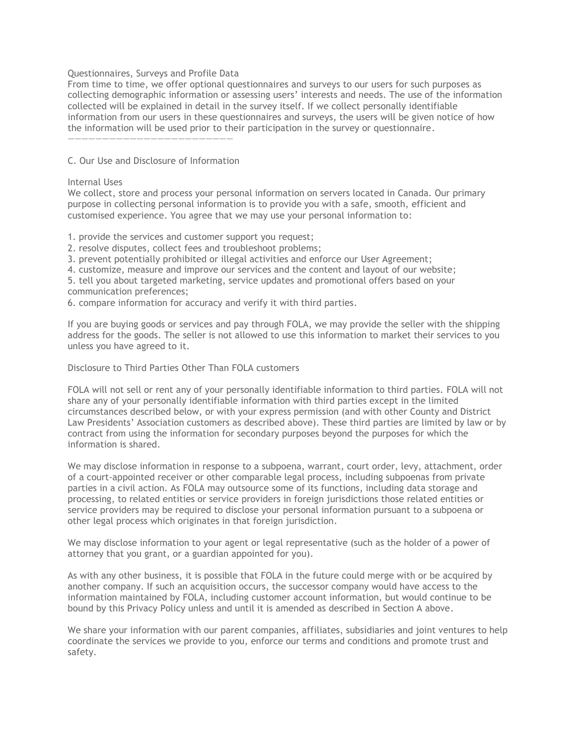## Questionnaires, Surveys and Profile Data

From time to time, we offer optional questionnaires and surveys to our users for such purposes as collecting demographic information or assessing users' interests and needs. The use of the information collected will be explained in detail in the survey itself. If we collect personally identifiable information from our users in these questionnaires and surveys, the users will be given notice of how the information will be used prior to their participation in the survey or questionnaire.

C. Our Use and Disclosure of Information

————————————————————————

## Internal Uses

We collect, store and process your personal information on servers located in Canada. Our primary purpose in collecting personal information is to provide you with a safe, smooth, efficient and customised experience. You agree that we may use your personal information to:

1. provide the services and customer support you request;

- 2. resolve disputes, collect fees and troubleshoot problems;
- 3. prevent potentially prohibited or illegal activities and enforce our User Agreement;
- 4. customize, measure and improve our services and the content and layout of our website;
- 5. tell you about targeted marketing, service updates and promotional offers based on your communication preferences;
- 6. compare information for accuracy and verify it with third parties.

If you are buying goods or services and pay through FOLA, we may provide the seller with the shipping address for the goods. The seller is not allowed to use this information to market their services to you unless you have agreed to it.

Disclosure to Third Parties Other Than FOLA customers

FOLA will not sell or rent any of your personally identifiable information to third parties. FOLA will not share any of your personally identifiable information with third parties except in the limited circumstances described below, or with your express permission (and with other County and District Law Presidents' Association customers as described above). These third parties are limited by law or by contract from using the information for secondary purposes beyond the purposes for which the information is shared.

We may disclose information in response to a subpoena, warrant, court order, levy, attachment, order of a court-appointed receiver or other comparable legal process, including subpoenas from private parties in a civil action. As FOLA may outsource some of its functions, including data storage and processing, to related entities or service providers in foreign jurisdictions those related entities or service providers may be required to disclose your personal information pursuant to a subpoena or other legal process which originates in that foreign jurisdiction.

We may disclose information to your agent or legal representative (such as the holder of a power of attorney that you grant, or a guardian appointed for you).

As with any other business, it is possible that FOLA in the future could merge with or be acquired by another company. If such an acquisition occurs, the successor company would have access to the information maintained by FOLA, including customer account information, but would continue to be bound by this Privacy Policy unless and until it is amended as described in Section A above.

We share your information with our parent companies, affiliates, subsidiaries and joint ventures to help coordinate the services we provide to you, enforce our terms and conditions and promote trust and safety.